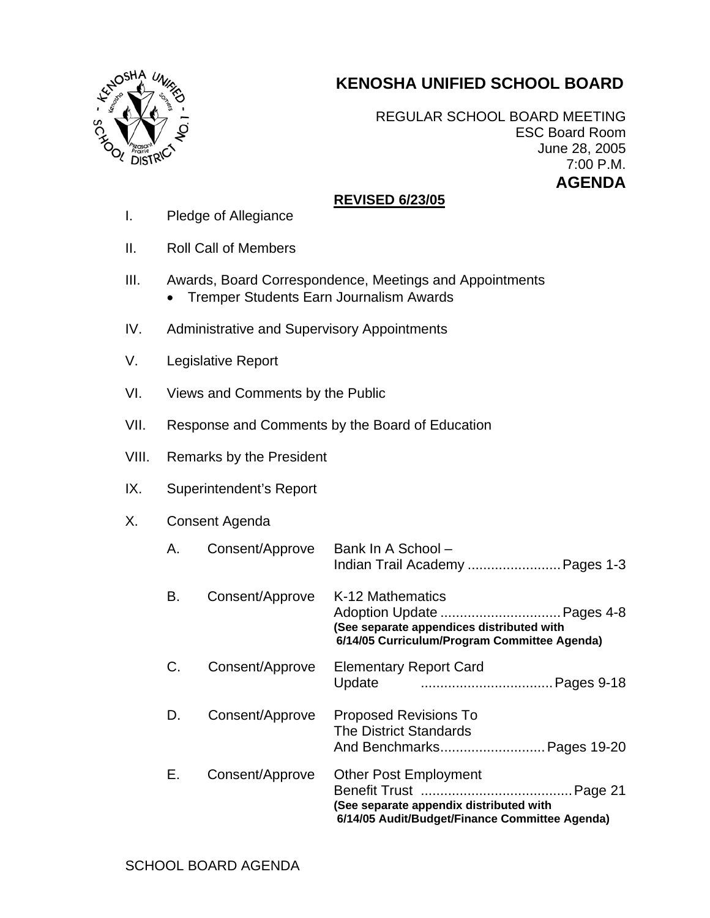## **KENOSHA UNIFIED SCHOOL BOARD**



REGULAR SCHOOL BOARD MEETING ESC Board Room June 28, 2005 7:00 P.M. **AGENDA** 

## **REVISED 6/23/05**

- I. Pledge of Allegiance
- II. Roll Call of Members
- III. Awards, Board Correspondence, Meetings and Appointments • Tremper Students Earn Journalism Awards
- IV. Administrative and Supervisory Appointments
- V. Legislative Report
- VI. Views and Comments by the Public
- VII. Response and Comments by the Board of Education
- VIII. Remarks by the President
- IX. Superintendent's Report

## X. Consent Agenda

| А. | Consent/Approve | Bank In A School -<br>Indian Trail Academy  Pages 1-3                                                                     |
|----|-----------------|---------------------------------------------------------------------------------------------------------------------------|
| В. | Consent/Approve | K-12 Mathematics<br>(See separate appendices distributed with<br>6/14/05 Curriculum/Program Committee Agenda)             |
| C. | Consent/Approve | <b>Elementary Report Card</b>                                                                                             |
| D. | Consent/Approve | <b>Proposed Revisions To</b><br>The District Standards<br>And Benchmarks Pages 19-20                                      |
| Е. | Consent/Approve | <b>Other Post Employment</b><br>(See separate appendix distributed with<br>6/14/05 Audit/Budget/Finance Committee Agenda) |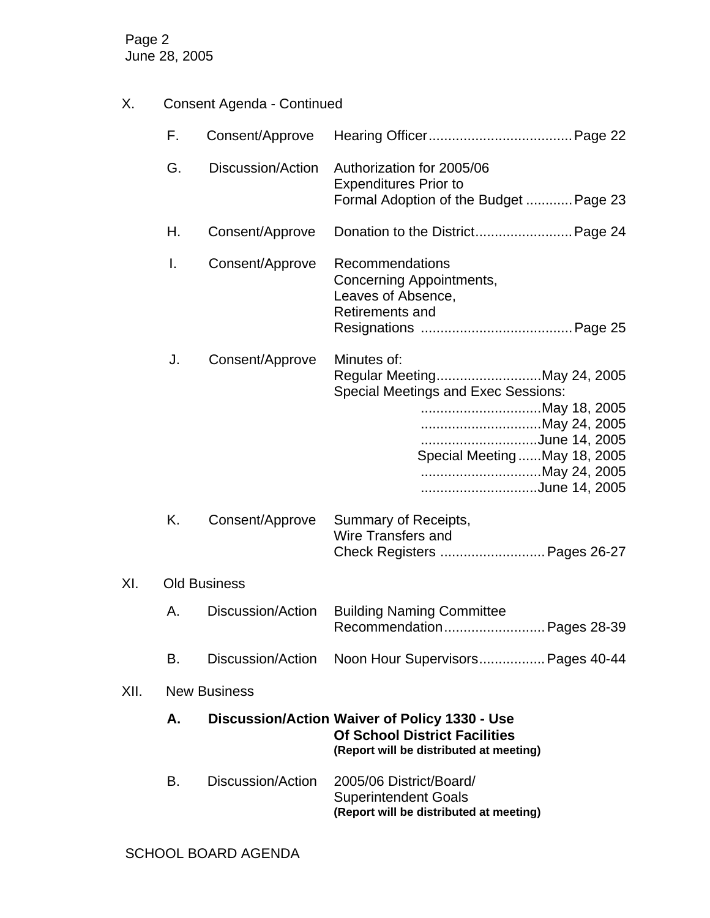Page 2 June 28, 2005

X. Consent Agenda - Continued

|                            |      | F.                  | Consent/Approve   |                                                                                                                                                                                             |  |  |
|----------------------------|------|---------------------|-------------------|---------------------------------------------------------------------------------------------------------------------------------------------------------------------------------------------|--|--|
|                            |      | G.                  | Discussion/Action | Authorization for 2005/06<br><b>Expenditures Prior to</b><br>Formal Adoption of the Budget  Page 23                                                                                         |  |  |
|                            |      | Н.                  | Consent/Approve   | Donation to the District Page 24                                                                                                                                                            |  |  |
|                            |      | I.                  | Consent/Approve   | Recommendations<br>Concerning Appointments,<br>Leaves of Absence,<br>Retirements and                                                                                                        |  |  |
|                            |      | J.                  | Consent/Approve   | Minutes of:<br>Regular MeetingMay 24, 2005<br><b>Special Meetings and Exec Sessions:</b><br>May 24, 2005<br>June 14, 2005<br>Special Meeting  May 18, 2005<br>May 24, 2005<br>June 14, 2005 |  |  |
|                            |      | Κ.                  | Consent/Approve   | Summary of Receipts,<br><b>Wire Transfers and</b><br>Check Registers  Pages 26-27                                                                                                           |  |  |
| XI.<br><b>Old Business</b> |      |                     |                   |                                                                                                                                                                                             |  |  |
|                            |      | А.                  | Discussion/Action | <b>Building Naming Committee</b><br>Recommendation Pages 28-39                                                                                                                              |  |  |
|                            |      | В.                  | Discussion/Action | Noon Hour Supervisors Pages 40-44                                                                                                                                                           |  |  |
|                            | XII. | <b>New Business</b> |                   |                                                                                                                                                                                             |  |  |
|                            |      | Α.                  |                   | Discussion/Action Waiver of Policy 1330 - Use<br><b>Of School District Facilities</b><br>(Report will be distributed at meeting)                                                            |  |  |
|                            |      | В.                  | Discussion/Action | 2005/06 District/Board/<br><b>Superintendent Goals</b><br>(Report will be distributed at meeting)                                                                                           |  |  |